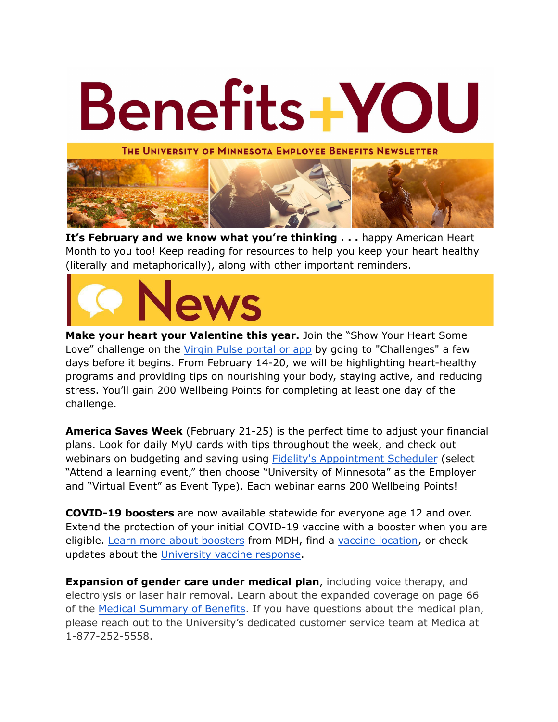

**It's February and we know what you're thinking . . .** happy American Heart Month to you too! Keep reading for resources to help you keep your heart healthy (literally and metaphorically), along with other important reminders.



**Make your heart your Valentine this year.** Join the "Show Your Heart Some Love" challenge on the Virgin Pulse [portal](https://click.ecommunications2.umn.edu/?qs=13ee8512afd83222db39d77d440e80a2198db2890dbeebbe85f47171cff40d5ab13b7161e6180c606504180d459fe5220d81e68fef47811e) or app by going to "Challenges" a few days before it begins. From February 14-20, we will be highlighting heart-healthy programs and providing tips on nourishing your body, staying active, and reducing stress. You'll gain 200 Wellbeing Points for completing at least one day of the challenge.

**America Saves Week** (February 21-25) is the perfect time to adjust your financial plans. Look for daily MyU cards with tips throughout the week, and check out webinars on budgeting and saving using **Fidelity's [Appointment](https://digital.fidelity.com/prgw/digital/wos/) Scheduler** (select "Attend a learning event," then choose "University of Minnesota" as the Employer and "Virtual Event" as Event Type). Each webinar earns 200 Wellbeing Points!

**COVID-19 boosters** are now available statewide for everyone age 12 and over. Extend the protection of your initial COVID-19 vaccine with a booster when you are eligible. Learn more about [boosters](https://lnks.gd/l/eyJhbGciOiJIUzI1NiJ9.eyJidWxsZXRpbl9saW5rX2lkIjoxMDYsInVyaSI6ImJwMjpjbGljayIsImJ1bGxldGluX2lkIjoiMjAyMTEyMjkuNTA5OTkxNzEiLCJ1cmwiOiJodHRwczovL21uLmdvdi9jb3ZpZDE5L3ZhY2NpbmUvYm9vc3RlcnMvaW5kZXguanNwIn0.n2rw7UsbBmzwoMz0RR-_GCDDnCtVhhXQ356-fY0gHu4/s/1804495014/br/123875705465-l) from MDH, find a vaccine [location,](https://lnks.gd/l/eyJhbGciOiJIUzI1NiJ9.eyJidWxsZXRpbl9saW5rX2lkIjoxMDcsInVyaSI6ImJwMjpjbGljayIsImJ1bGxldGluX2lkIjoiMjAyMTEyMjkuNTA5OTkxNzEiLCJ1cmwiOiJodHRwczovL21uLmdvdi9jb3ZpZDE5L3ZhY2NpbmUvZmluZC12YWNjaW5lL2xvY2F0aW9ucy9pbmRleC5qc3AifQ.euspeagUFdQnVEa195NmhaXvgYRa-8IZ1g8xgKBI1Q0/s/1804495014/br/123875705465-l) or check updates about the [University](https://safe-campus.umn.edu/return-campus/university-planning-response) vaccine response.

**Expansion of gender care under medical plan**, including voice therapy, and electrolysis or laser hair removal. Learn about the expanded coverage on page 66 of the Medical [Summary](https://humanresources.umn.edu/sites/humanresources.umn.edu/files/medical_summary_112_pages_12.15.21_online.pdf) of Benefits. If you have questions about the medical plan, please reach out to the University's dedicated customer service team at Medica at 1-877-252-5558.